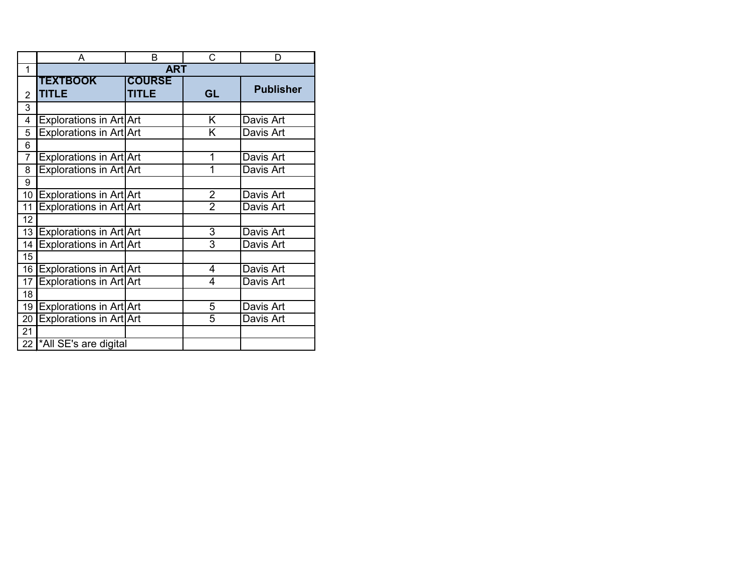|                | А                               | B                             | С              | D                |
|----------------|---------------------------------|-------------------------------|----------------|------------------|
| 1              |                                 | <b>ART</b>                    |                |                  |
| $\overline{2}$ | <b>TEXTBOOK</b><br><b>TITLE</b> | <b>COURSE</b><br><b>TITLE</b> | GL             | <b>Publisher</b> |
| 3              |                                 |                               |                |                  |
| 4              | Explorations in Art Art         |                               | Κ              | Davis Art        |
| 5              | <b>Explorations in Art Art</b>  |                               | Κ              | Davis Art        |
| 6              |                                 |                               |                |                  |
| 7              | Explorations in Art Art         |                               | 1              | Davis Art        |
| 8              | Explorations in Art Art         |                               | 1              | Davis Art        |
| 9              |                                 |                               |                |                  |
| 10             | Explorations in Art Art         |                               | $\overline{2}$ | Davis Art        |
| 11             | Explorations in Art Art         |                               | $\overline{2}$ | Davis Art        |
| 12             |                                 |                               |                |                  |
| 13             | Explorations in Art Art         |                               | 3              | Davis Art        |
| 14             | Explorations in Art Art         |                               | 3              | Davis Art        |
| 15             |                                 |                               |                |                  |
| 16             | Explorations in Art Art         |                               | 4              | Davis Art        |
| 17             | Explorations in Art Art         |                               | 4              | Davis Art        |
| 18             |                                 |                               |                |                  |
| 19             | <b>Explorations in Art Art</b>  |                               | 5              | Davis Art        |
| 20             | Explorations in Art Art         |                               | 5              | Davis Art        |
| 21             |                                 |                               |                |                  |
| 22             | *All SE's are digital           |                               |                |                  |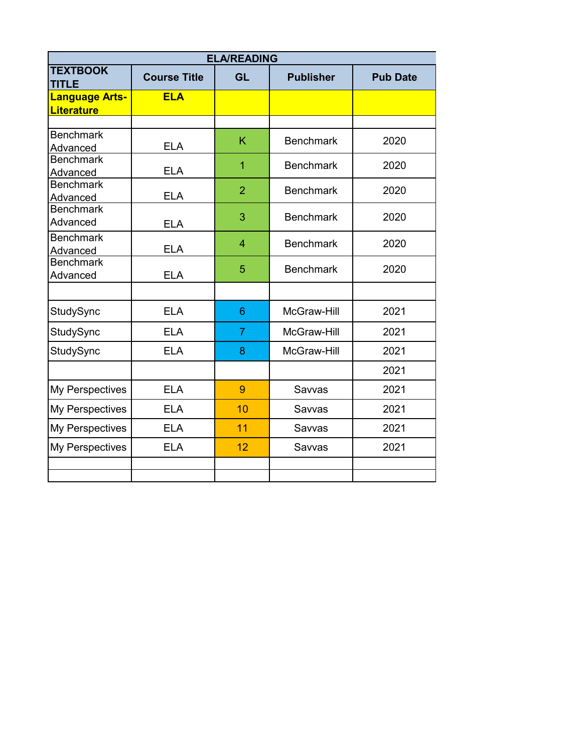| <b>ELA/READING</b>                         |                     |                |                  |                 |  |  |  |
|--------------------------------------------|---------------------|----------------|------------------|-----------------|--|--|--|
| <b>TEXTBOOK</b><br><b>TITLE</b>            | <b>Course Title</b> | <b>GL</b>      | <b>Publisher</b> | <b>Pub Date</b> |  |  |  |
| <b>Language Arts-</b><br><b>Literature</b> | <b>ELA</b>          |                |                  |                 |  |  |  |
|                                            |                     |                |                  |                 |  |  |  |
| <b>Benchmark</b><br>Advanced               | <b>ELA</b>          | K              | <b>Benchmark</b> | 2020            |  |  |  |
| <b>Benchmark</b><br>Advanced               | <b>ELA</b>          | 1              | <b>Benchmark</b> | 2020            |  |  |  |
| <b>Benchmark</b><br>Advanced               | <b>ELA</b>          | $\overline{2}$ | <b>Benchmark</b> | 2020            |  |  |  |
| <b>Benchmark</b><br>Advanced               | <b>ELA</b>          | 3              | <b>Benchmark</b> | 2020            |  |  |  |
| <b>Benchmark</b><br>Advanced               | <b>ELA</b>          | $\overline{4}$ | <b>Benchmark</b> | 2020            |  |  |  |
| <b>Benchmark</b><br>Advanced               | <b>ELA</b>          | 5              | <b>Benchmark</b> | 2020            |  |  |  |
|                                            |                     |                |                  |                 |  |  |  |
| StudySync                                  | <b>ELA</b>          | 6              | McGraw-Hill      | 2021            |  |  |  |
| StudySync                                  | <b>ELA</b>          | $\overline{7}$ | McGraw-Hill      | 2021            |  |  |  |
| StudySync                                  | <b>ELA</b>          | 8              | McGraw-Hill      | 2021            |  |  |  |
|                                            |                     |                |                  | 2021            |  |  |  |
| My Perspectives                            | <b>ELA</b>          | 9              | Savvas           | 2021            |  |  |  |
| My Perspectives                            | <b>ELA</b>          | 10             | Savvas           | 2021            |  |  |  |
| My Perspectives                            | <b>ELA</b>          | 11             | Savvas           | 2021            |  |  |  |
| My Perspectives                            | <b>ELA</b>          | 12             | Savvas           | 2021            |  |  |  |
|                                            |                     |                |                  |                 |  |  |  |
|                                            |                     |                |                  |                 |  |  |  |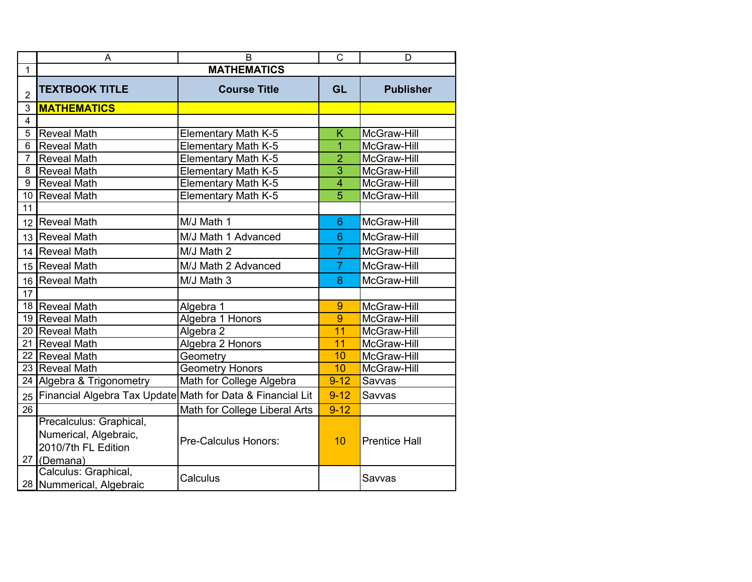|                 | B<br>A                                                                              |                               |                | D                    |  |  |  |
|-----------------|-------------------------------------------------------------------------------------|-------------------------------|----------------|----------------------|--|--|--|
| $\mathbf{1}$    | <b>MATHEMATICS</b>                                                                  |                               |                |                      |  |  |  |
| $\overline{2}$  | <b>TEXTBOOK TITLE</b>                                                               | <b>Course Title</b>           | <b>GL</b>      | <b>Publisher</b>     |  |  |  |
| 3               | <b>MATHEMATICS</b>                                                                  |                               |                |                      |  |  |  |
| $\overline{4}$  |                                                                                     |                               |                |                      |  |  |  |
| 5               | <b>Reveal Math</b>                                                                  | Elementary Math K-5           | K              | McGraw-Hill          |  |  |  |
| 6               | <b>Reveal Math</b>                                                                  | Elementary Math K-5           | $\overline{1}$ | McGraw-Hill          |  |  |  |
| $\overline{7}$  | <b>Reveal Math</b>                                                                  | <b>Elementary Math K-5</b>    | $\overline{2}$ | McGraw-Hill          |  |  |  |
| 8               | <b>Reveal Math</b>                                                                  | Elementary Math K-5           | $\overline{3}$ | McGraw-Hill          |  |  |  |
| 9               | <b>Reveal Math</b>                                                                  | <b>Elementary Math K-5</b>    | $\overline{4}$ | McGraw-Hill          |  |  |  |
| 10 <sup>1</sup> | <b>Reveal Math</b>                                                                  | <b>Elementary Math K-5</b>    | $\overline{5}$ | McGraw-Hill          |  |  |  |
| 11              |                                                                                     |                               |                |                      |  |  |  |
| 12              | Reveal Math                                                                         | M/J Math 1                    | $6\phantom{1}$ | McGraw-Hill          |  |  |  |
| 13              | Reveal Math                                                                         | M/J Math 1 Advanced           | $6\phantom{1}$ | McGraw-Hill          |  |  |  |
| 14              | Reveal Math                                                                         | M/J Math 2                    |                | McGraw-Hill          |  |  |  |
|                 | 15   Reveal Math                                                                    | M/J Math 2 Advanced           | $\overline{7}$ | McGraw-Hill          |  |  |  |
| 16              | Reveal Math                                                                         | M/J Math 3                    | 8              | McGraw-Hill          |  |  |  |
| $\overline{17}$ |                                                                                     |                               |                |                      |  |  |  |
|                 | 18 Reveal Math                                                                      | Algebra 1                     | 9              | McGraw-Hill          |  |  |  |
|                 | 19 Reveal Math                                                                      | Algebra 1 Honors              | 9              | McGraw-Hill          |  |  |  |
| 20              | <b>Reveal Math</b>                                                                  | Algebra 2                     | 11             | McGraw-Hill          |  |  |  |
| 21              | <b>Reveal Math</b>                                                                  | Algebra 2 Honors              | 11             | McGraw-Hill          |  |  |  |
| 22              | <b>Reveal Math</b>                                                                  | Geometry                      | 10             | McGraw-Hill          |  |  |  |
| 23              | <b>Reveal Math</b>                                                                  | <b>Geometry Honors</b>        | 10             | McGraw-Hill          |  |  |  |
|                 | 24 Algebra & Trigonometry                                                           | Math for College Algebra      | $9 - 12$       | Savvas               |  |  |  |
| 25              | Financial Algebra Tax Update Math for Data & Financial Lit                          |                               | $9 - 12$       | Savvas               |  |  |  |
| $\overline{26}$ |                                                                                     | Math for College Liberal Arts | $9 - 12$       |                      |  |  |  |
| 27              | Precalculus: Graphical,<br>Numerical, Algebraic,<br>2010/7th FL Edition<br>(Demana) | Pre-Calculus Honors:          | 10             | <b>Prentice Hall</b> |  |  |  |
|                 | Calculus: Graphical,<br>28 Nummerical, Algebraic                                    | Calculus                      |                | Savvas               |  |  |  |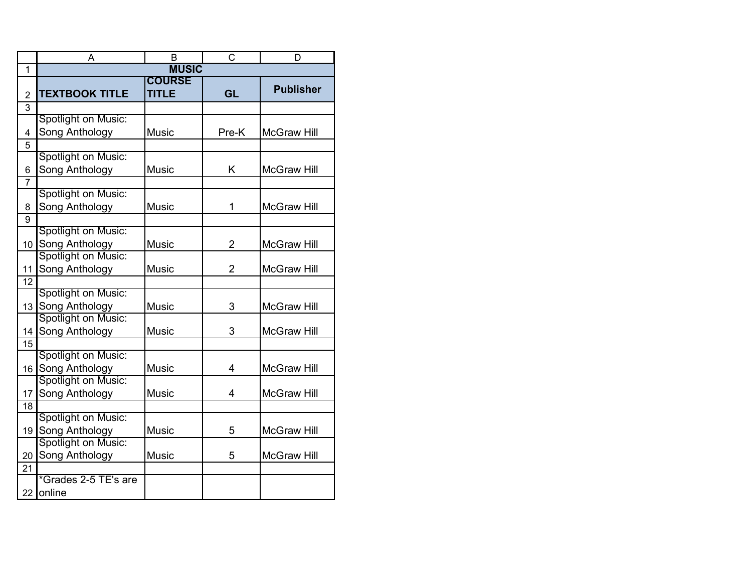|                 | A                                     | B             | C              | D                  |  |  |
|-----------------|---------------------------------------|---------------|----------------|--------------------|--|--|
| $\overline{1}$  | <b>MUSIC</b>                          |               |                |                    |  |  |
|                 |                                       | <b>COURSE</b> |                | <b>Publisher</b>   |  |  |
| $\overline{2}$  | <b>TEXTBOOK TITLE</b>                 | <b>TITLE</b>  | GL             |                    |  |  |
| 3               |                                       |               |                |                    |  |  |
|                 | Spotlight on Music:                   |               |                |                    |  |  |
| 4               | Song Anthology                        | <b>Music</b>  | Pre-K          | <b>McGraw Hill</b> |  |  |
| 5               |                                       |               |                |                    |  |  |
|                 | Spotlight on Music:                   |               |                |                    |  |  |
| 6               | Song Anthology                        | <b>Music</b>  | Κ              | <b>McGraw Hill</b> |  |  |
| 7               |                                       |               |                |                    |  |  |
|                 | Spotlight on Music:                   |               |                |                    |  |  |
| 8               | Song Anthology                        | <b>Music</b>  | 1              | <b>McGraw Hill</b> |  |  |
| 9               |                                       |               |                |                    |  |  |
|                 | Spotlight on Music:                   |               |                |                    |  |  |
| 10 <sup>1</sup> | Song Anthology                        | <b>Music</b>  | $\overline{2}$ | <b>McGraw Hill</b> |  |  |
|                 | Spotlight on Music:                   |               |                |                    |  |  |
| 11              | Song Anthology                        | <b>Music</b>  | $\overline{2}$ | <b>McGraw Hill</b> |  |  |
| 12              |                                       |               |                |                    |  |  |
|                 | Spotlight on Music:                   |               |                |                    |  |  |
| 13              | Song Anthology<br>Spotlight on Music: | <b>Music</b>  | 3              | <b>McGraw Hill</b> |  |  |
|                 |                                       |               |                |                    |  |  |
| 14              | Song Anthology                        | Music         | 3              | <b>McGraw Hill</b> |  |  |
| 15              |                                       |               |                |                    |  |  |
|                 | Spotlight on Music:                   |               |                |                    |  |  |
| 16              | Song Anthology                        | <b>Music</b>  | 4              | <b>McGraw Hill</b> |  |  |
|                 | Spotlight on Music:                   |               |                |                    |  |  |
| 17              | Song Anthology                        | <b>Music</b>  | 4              | <b>McGraw Hill</b> |  |  |
| 18              | Spotlight on Music:                   |               |                |                    |  |  |
|                 |                                       |               |                |                    |  |  |
| 19              | Song Anthology<br>Spotlight on Music: | <b>Music</b>  | 5              | <b>McGraw Hill</b> |  |  |
|                 |                                       |               |                |                    |  |  |
| 20              | Song Anthology                        | <b>Music</b>  | 5              | <b>McGraw Hill</b> |  |  |
| 21              | *Grades 2-5 TE's are                  |               |                |                    |  |  |
|                 |                                       |               |                |                    |  |  |
| 22 <sub>2</sub> | online                                |               |                |                    |  |  |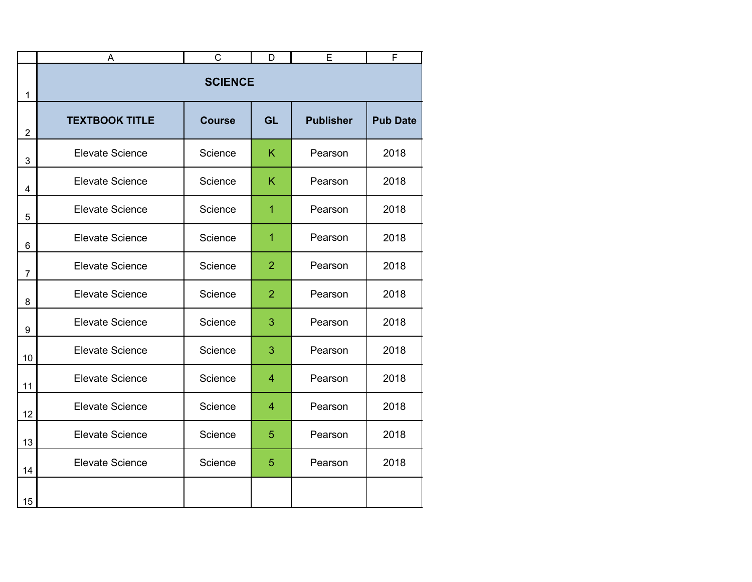|                           | A                      | $\mathsf C$   | D              | Ē                | F               |  |  |
|---------------------------|------------------------|---------------|----------------|------------------|-----------------|--|--|
| 1                         | <b>SCIENCE</b>         |               |                |                  |                 |  |  |
| $\overline{2}$            | <b>TEXTBOOK TITLE</b>  | <b>Course</b> | <b>GL</b>      | <b>Publisher</b> | <b>Pub Date</b> |  |  |
| $\ensuremath{\mathsf{3}}$ | <b>Elevate Science</b> | Science       | K              | Pearson          | 2018            |  |  |
| 4                         | <b>Elevate Science</b> | Science       | K              | Pearson          | 2018            |  |  |
| 5                         | <b>Elevate Science</b> | Science       | $\overline{1}$ | Pearson          | 2018            |  |  |
| 6                         | <b>Elevate Science</b> | Science       | 1              | Pearson          | 2018            |  |  |
| $\overline{7}$            | <b>Elevate Science</b> | Science       | $\overline{2}$ | Pearson          | 2018            |  |  |
| 8                         | <b>Elevate Science</b> | Science       | $\overline{2}$ | Pearson          | 2018            |  |  |
| 9                         | <b>Elevate Science</b> | Science       | 3              | Pearson          | 2018            |  |  |
| 10                        | <b>Elevate Science</b> | Science       | 3              | Pearson          | 2018            |  |  |
| 11                        | <b>Elevate Science</b> | Science       | 4              | Pearson          | 2018            |  |  |
| 12                        | <b>Elevate Science</b> | Science       | 4              | Pearson          | 2018            |  |  |
| 13                        | <b>Elevate Science</b> | Science       | 5              | Pearson          | 2018            |  |  |
| 14                        | <b>Elevate Science</b> | Science       | 5              | Pearson          | 2018            |  |  |
| 15                        |                        |               |                |                  |                 |  |  |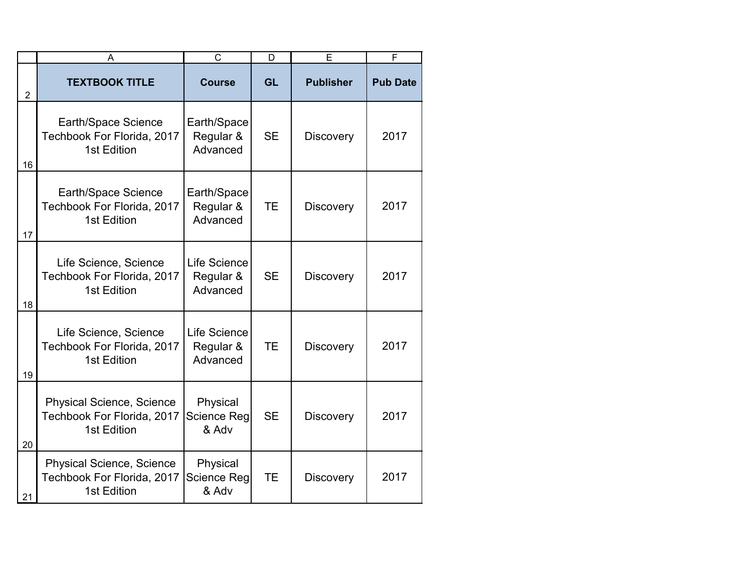|                | A                                                                             | $\mathsf{C}$                            | D         | E                | F               |
|----------------|-------------------------------------------------------------------------------|-----------------------------------------|-----------|------------------|-----------------|
| $\overline{2}$ | <b>TEXTBOOK TITLE</b>                                                         | <b>Course</b>                           | <b>GL</b> | <b>Publisher</b> | <b>Pub Date</b> |
| 16             | Earth/Space Science<br>Techbook For Florida, 2017<br>1st Edition              | Earth/Space<br>Regular &<br>Advanced    | <b>SE</b> | <b>Discovery</b> | 2017            |
| 17             | Earth/Space Science<br>Techbook For Florida, 2017<br>1st Edition              | Earth/Space<br>Regular &<br>Advanced    | <b>TE</b> | <b>Discovery</b> | 2017            |
| 18             | Life Science, Science<br>Techbook For Florida, 2017<br>1st Edition            | Life Science<br>Regular &<br>Advanced   | <b>SE</b> | <b>Discovery</b> | 2017            |
| 19             | Life Science, Science<br>Techbook For Florida, 2017<br>1st Edition            | Life Science<br>Regular &<br>Advanced   | <b>TE</b> | <b>Discovery</b> | 2017            |
| 20             | <b>Physical Science, Science</b><br>Techbook For Florida, 2017<br>1st Edition | Physical<br>Science Reg<br>& Adv        | <b>SE</b> | <b>Discovery</b> | 2017            |
| 21             | <b>Physical Science, Science</b><br>Techbook For Florida, 2017<br>1st Edition | Physical<br><b>Science Reg</b><br>& Adv | <b>TE</b> | <b>Discovery</b> | 2017            |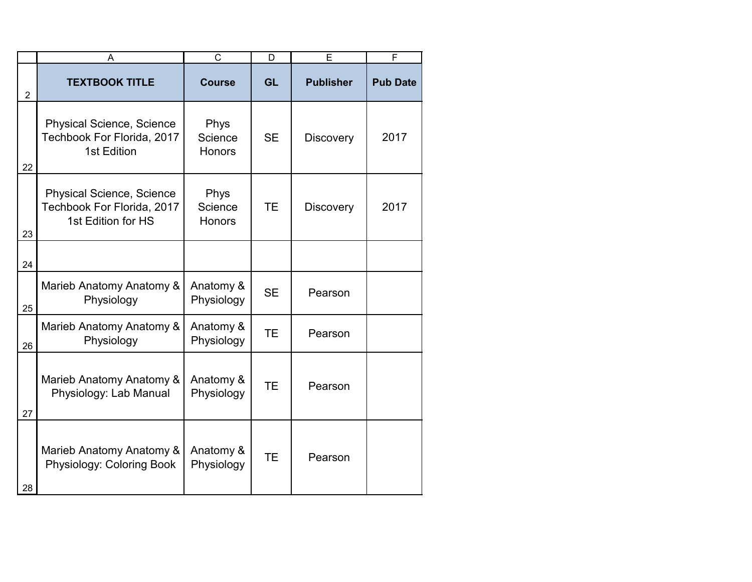|                | A                                                                                    | $\mathsf{C}$                     | D         | E                | F               |
|----------------|--------------------------------------------------------------------------------------|----------------------------------|-----------|------------------|-----------------|
| $\overline{2}$ | <b>TEXTBOOK TITLE</b>                                                                | <b>Course</b>                    | <b>GL</b> | <b>Publisher</b> | <b>Pub Date</b> |
| 22             | <b>Physical Science, Science</b><br>Techbook For Florida, 2017<br>1st Edition        | Phys<br>Science<br><b>Honors</b> | <b>SE</b> | <b>Discovery</b> | 2017            |
| 23             | <b>Physical Science, Science</b><br>Techbook For Florida, 2017<br>1st Edition for HS | Phys<br>Science<br><b>Honors</b> | <b>TE</b> | <b>Discovery</b> | 2017            |
| 24             |                                                                                      |                                  |           |                  |                 |
| 25             | Marieb Anatomy Anatomy &<br>Physiology                                               | Anatomy &<br>Physiology          | <b>SE</b> | Pearson          |                 |
| 26             | Marieb Anatomy Anatomy &<br>Physiology                                               | Anatomy &<br>Physiology          | <b>TE</b> | Pearson          |                 |
| 27             | Marieb Anatomy Anatomy &<br>Physiology: Lab Manual                                   | Anatomy &<br>Physiology          | <b>TE</b> | Pearson          |                 |
| 28             | Marieb Anatomy Anatomy &<br>Physiology: Coloring Book                                | Anatomy &<br>Physiology          | <b>TE</b> | Pearson          |                 |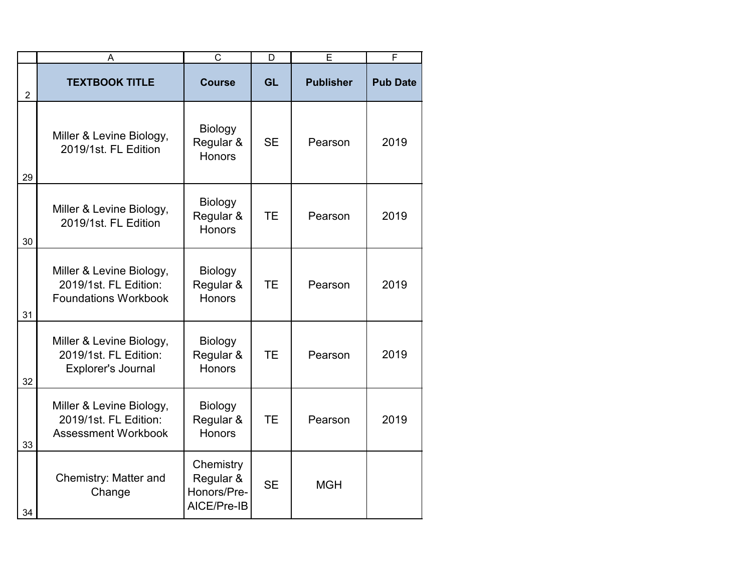|                | A                                                                                | $\overline{C}$                                       | D         | Ē                | F               |
|----------------|----------------------------------------------------------------------------------|------------------------------------------------------|-----------|------------------|-----------------|
| $\overline{2}$ | <b>TEXTBOOK TITLE</b>                                                            | <b>Course</b>                                        | <b>GL</b> | <b>Publisher</b> | <b>Pub Date</b> |
| 29             | Miller & Levine Biology,<br>2019/1st. FL Edition                                 | Biology<br>Regular &<br><b>Honors</b>                | <b>SE</b> | Pearson          | 2019            |
| 30             | Miller & Levine Biology,<br>2019/1st. FL Edition                                 | <b>Biology</b><br>Regular &<br><b>Honors</b>         | <b>TE</b> | Pearson          | 2019            |
| 31             | Miller & Levine Biology,<br>2019/1st. FL Edition:<br><b>Foundations Workbook</b> | <b>Biology</b><br>Regular &<br><b>Honors</b>         | <b>TE</b> | Pearson          | 2019            |
| 32             | Miller & Levine Biology,<br>2019/1st. FL Edition:<br>Explorer's Journal          | Biology<br>Regular &<br>Honors                       | <b>TE</b> | Pearson          | 2019            |
| 33             | Miller & Levine Biology,<br>2019/1st. FL Edition:<br><b>Assessment Workbook</b>  | <b>Biology</b><br>Regular &<br><b>Honors</b>         | <b>TE</b> | Pearson          | 2019            |
| 34             | Chemistry: Matter and<br>Change                                                  | Chemistry<br>Regular &<br>Honors/Pre-<br>AICE/Pre-IB | <b>SE</b> | <b>MGH</b>       |                 |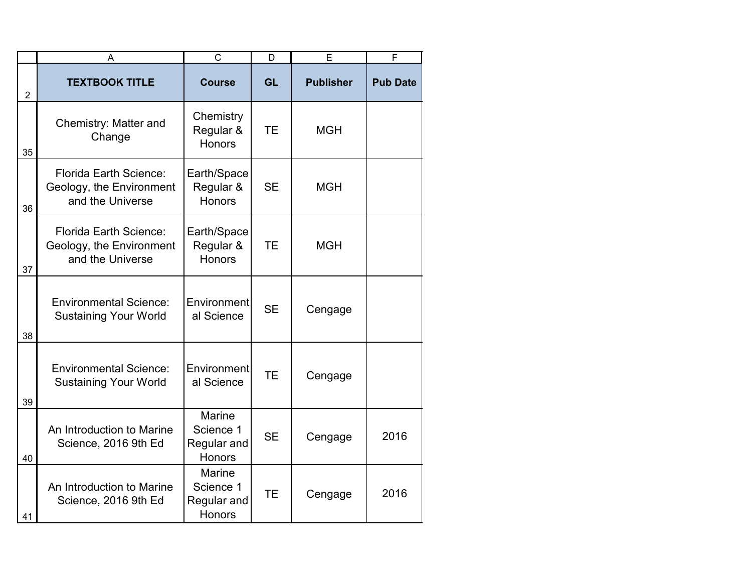|                | A                                                                      | $\overline{C}$                                             | D         | E                | F               |
|----------------|------------------------------------------------------------------------|------------------------------------------------------------|-----------|------------------|-----------------|
| $\overline{2}$ | <b>TEXTBOOK TITLE</b>                                                  | <b>Course</b>                                              | GL        | <b>Publisher</b> | <b>Pub Date</b> |
| 35             | Chemistry: Matter and<br>Change                                        | Chemistry<br>Regular &<br><b>Honors</b>                    | <b>TE</b> | <b>MGH</b>       |                 |
| 36             | Florida Earth Science:<br>Geology, the Environment<br>and the Universe | Earth/Space<br>Regular &<br><b>Honors</b>                  | <b>SE</b> | <b>MGH</b>       |                 |
| 37             | Florida Earth Science:<br>Geology, the Environment<br>and the Universe | Earth/Space<br>Regular &<br>Honors                         | <b>TE</b> | <b>MGH</b>       |                 |
| 38             | <b>Environmental Science:</b><br><b>Sustaining Your World</b>          | Environment<br>al Science                                  | <b>SE</b> | Cengage          |                 |
| 39             | <b>Environmental Science:</b><br><b>Sustaining Your World</b>          | <b>Environment</b><br>al Science                           | <b>TE</b> | Cengage          |                 |
| 40             | An Introduction to Marine<br>Science, 2016 9th Ed                      | Marine<br>Science 1<br>Regular and<br><b>Honors</b>        | <b>SE</b> | Cengage          | 2016            |
| 41             | An Introduction to Marine<br>Science, 2016 9th Ed                      | <b>Marine</b><br>Science 1<br>Regular and<br><b>Honors</b> | <b>TE</b> | Cengage          | 2016            |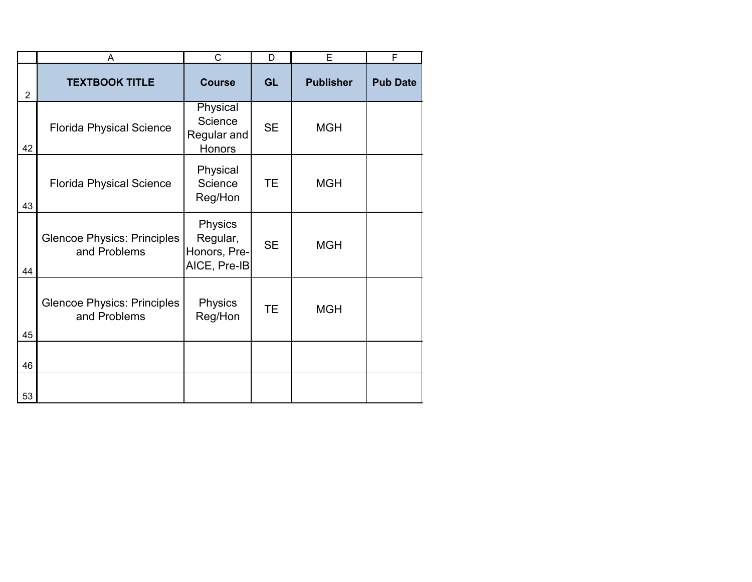|                | A                                                  | C                                                   | D         | E                | F               |
|----------------|----------------------------------------------------|-----------------------------------------------------|-----------|------------------|-----------------|
| $\overline{2}$ | <b>TEXTBOOK TITLE</b>                              | <b>Course</b>                                       | <b>GL</b> | <b>Publisher</b> | <b>Pub Date</b> |
| 42             | <b>Florida Physical Science</b>                    | Physical<br>Science<br>Regular and<br>Honors        | <b>SE</b> | <b>MGH</b>       |                 |
| 43             | <b>Florida Physical Science</b>                    | Physical<br>Science<br>Reg/Hon                      | <b>TE</b> | <b>MGH</b>       |                 |
| 44             | <b>Glencoe Physics: Principles</b><br>and Problems | Physics<br>Regular,<br>Honors, Pre-<br>AICE, Pre-IB | <b>SE</b> | <b>MGH</b>       |                 |
| 45             | <b>Glencoe Physics: Principles</b><br>and Problems | Physics<br>Reg/Hon                                  | TE.       | <b>MGH</b>       |                 |
|                |                                                    |                                                     |           |                  |                 |
| 46             |                                                    |                                                     |           |                  |                 |
| 53             |                                                    |                                                     |           |                  |                 |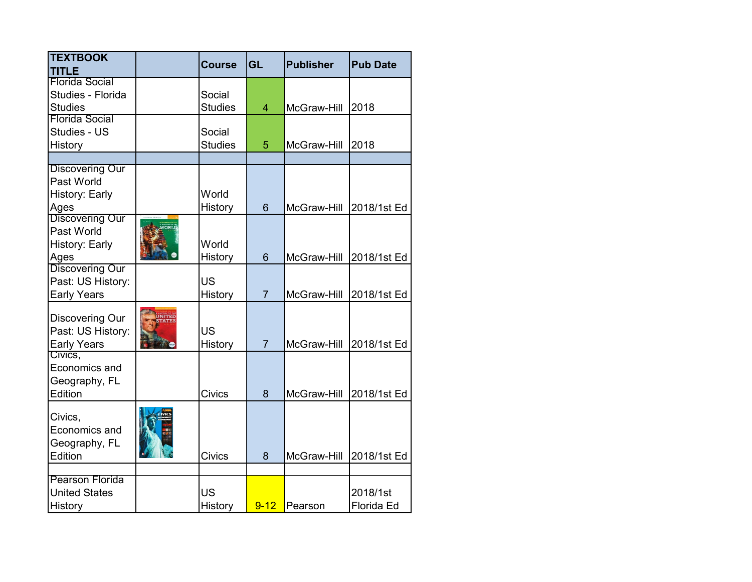| <b>TEXTBOOK</b><br><b>TITLE</b> |               | <b>Course</b>  | <b>GL</b>      | <b>Publisher</b> | <b>Pub Date</b> |
|---------------------------------|---------------|----------------|----------------|------------------|-----------------|
| <b>Florida Social</b>           |               |                |                |                  |                 |
| Studies - Florida               |               | Social         |                |                  |                 |
| <b>Studies</b>                  |               | <b>Studies</b> | 4              | McGraw-Hill      | 2018            |
| <b>Florida Social</b>           |               |                |                |                  |                 |
| Studies - US                    |               | Social         |                |                  |                 |
| History                         |               | <b>Studies</b> | 5              | McGraw-Hill      | 2018            |
|                                 |               |                |                |                  |                 |
| <b>Discovering Our</b>          |               |                |                |                  |                 |
| Past World                      |               |                |                |                  |                 |
| History: Early                  |               | World          |                |                  |                 |
| Ages                            |               | History        | 6              | McGraw-Hill      | 2018/1st Ed     |
| Discovering Our                 |               |                |                |                  |                 |
| Past World                      |               |                |                |                  |                 |
| History: Early                  |               | World          |                |                  |                 |
| Ages                            |               | History        | 6              | McGraw-Hill      | 2018/1st Ed     |
| Discovering Our                 |               |                |                |                  |                 |
| Past: US History:               |               | <b>US</b>      |                |                  |                 |
| <b>Early Years</b>              |               | History        | $\overline{7}$ | McGraw-Hill      | 2018/1st Ed     |
| Discovering Our                 | <b>JNITED</b> |                |                |                  |                 |
| Past: US History:               |               | <b>US</b>      |                |                  |                 |
| <b>Early Years</b>              |               | History        | $\overline{7}$ | McGraw-Hill      |                 |
| Civics,                         |               |                |                |                  | 2018/1st Ed     |
| Economics and                   |               |                |                |                  |                 |
| Geography, FL                   |               |                |                |                  |                 |
| Edition                         |               | <b>Civics</b>  | 8              | McGraw-Hill      | 2018/1st Ed     |
|                                 |               |                |                |                  |                 |
| Civics,                         |               |                |                |                  |                 |
| Economics and                   |               |                |                |                  |                 |
| Geography, FL                   |               |                |                |                  |                 |
| Edition                         |               | <b>Civics</b>  | 8              | McGraw-Hill      | 2018/1st Ed     |
|                                 |               |                |                |                  |                 |
| <b>Pearson Florida</b>          |               |                |                |                  |                 |
| <b>United States</b>            |               | <b>US</b>      |                |                  | 2018/1st        |
| History                         |               | History        | $9 - 12$       | Pearson          | Florida Ed      |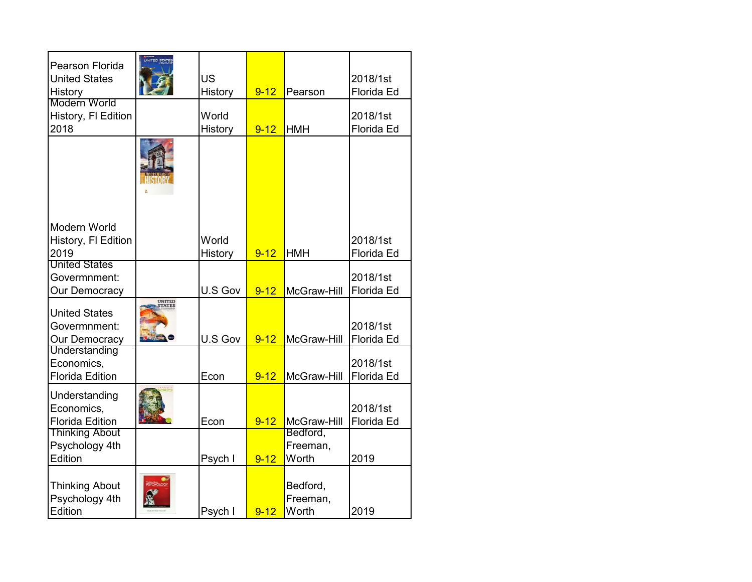| Pearson Florida<br><b>United States</b><br><b>History</b> | UNITED STATES    | <b>US</b><br>History | $9 - 12$ | Pearson                       | 2018/1st<br>Florida Ed |
|-----------------------------------------------------------|------------------|----------------------|----------|-------------------------------|------------------------|
| Modern World<br>History, FI Edition<br>2018               |                  | World<br>History     | $9 - 12$ | <b>HMH</b>                    | 2018/1st<br>Florida Ed |
|                                                           |                  |                      |          |                               |                        |
| Modern World<br>History, FI Edition<br>2019               |                  | World<br>History     | $9 - 12$ | <b>HMH</b>                    | 2018/1st<br>Florida Ed |
| <b>United States</b><br>Govermnment:<br>Our Democracy     |                  | U.S Gov              | $9 - 12$ | McGraw-Hill                   | 2018/1st<br>Florida Ed |
| <b>United States</b><br>Govermnment:<br>Our Democracy     | UNITED<br>STATES | U.S Gov              | $9 - 12$ | McGraw-Hill                   | 2018/1st<br>Florida Ed |
| Understanding<br>Economics,<br><b>Florida Edition</b>     |                  | Econ                 | $9 - 12$ | McGraw-Hill                   | 2018/1st<br>Florida Ed |
| Understanding<br>Economics,<br><b>Florida Edition</b>     |                  | Econ                 | $9 - 12$ | McGraw-Hill                   | 2018/1st<br>Florida Ed |
| <b>Thinking About</b><br>Psychology 4th<br>Edition        |                  | Psych I              | $9 - 12$ | Bedford,<br>Freeman,<br>Worth | 2019                   |
| <b>Thinking About</b><br>Psychology 4th<br>Edition        |                  | Psych I              | $9 - 12$ | Bedford,<br>Freeman,<br>Worth | 2019                   |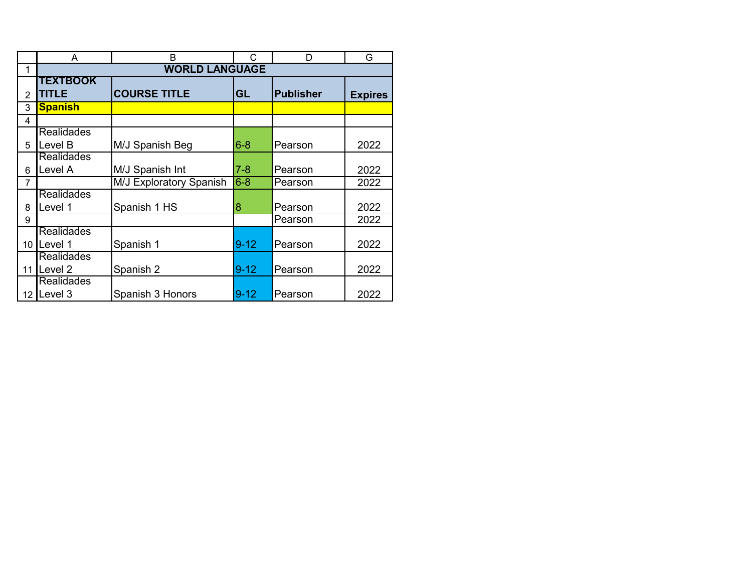|                 | A                     | B                       | C        | D                | G              |
|-----------------|-----------------------|-------------------------|----------|------------------|----------------|
| 1               | <b>WORLD LANGUAGE</b> |                         |          |                  |                |
|                 | <b>TEXTBOOK</b>       |                         |          |                  |                |
| 2               | <b>TITLE</b>          | <b>COURSE TITLE</b>     | GL       | <b>Publisher</b> | <b>Expires</b> |
| 3               | <b>Spanish</b>        |                         |          |                  |                |
| 4               |                       |                         |          |                  |                |
|                 | <b>Realidades</b>     |                         |          |                  |                |
| 5               | Level B               | M/J Spanish Beg         | $6 - 8$  | Pearson          | 2022           |
|                 | <b>Realidades</b>     |                         |          |                  |                |
| 6               | Level A               | M/J Spanish Int         | $7 - 8$  | Pearson          | 2022           |
| 7               |                       | M/J Exploratory Spanish | $6-8$    | Pearson          | 2022           |
|                 | <b>Realidades</b>     |                         |          |                  |                |
| 8               | Level 1               | Spanish 1 HS            | 8        | Pearson          | 2022           |
| 9               |                       |                         |          | Pearson          | 2022           |
|                 | <b>Realidades</b>     |                         |          |                  |                |
| 10 <sup>1</sup> | Level 1               | Spanish 1               | $9 - 12$ | Pearson          | 2022           |
|                 | <b>Realidades</b>     |                         |          |                  |                |
| 11              | Level 2               | Spanish 2               | $9 - 12$ | Pearson          | 2022           |
|                 | <b>Realidades</b>     |                         |          |                  |                |
|                 | 12 Level $3$          | Spanish 3 Honors        | $9 - 12$ | Pearson          | 2022           |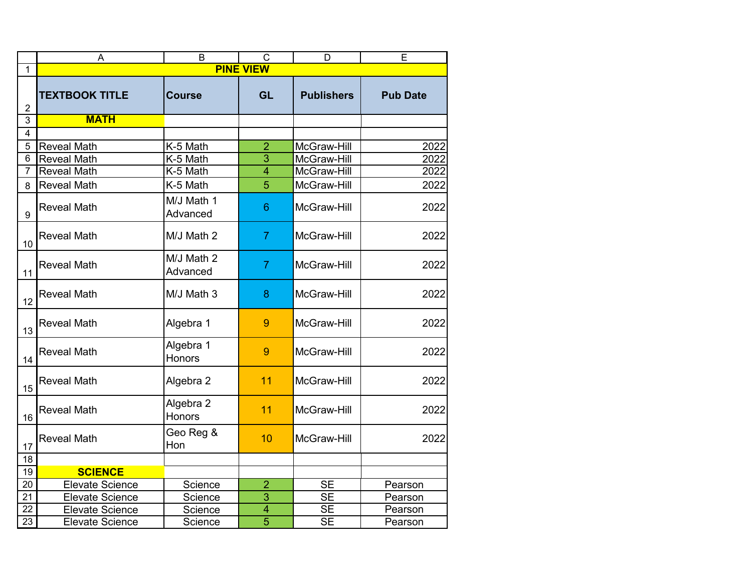|                | A                      | B                      | C              | D                      | E               |
|----------------|------------------------|------------------------|----------------|------------------------|-----------------|
| 1              | <b>PINE VIEW</b>       |                        |                |                        |                 |
| $\overline{2}$ | <b>TEXTBOOK TITLE</b>  | <b>Course</b>          | <b>GL</b>      | <b>Publishers</b>      | <b>Pub Date</b> |
| 3              | <b>MATH</b>            |                        |                |                        |                 |
| $\overline{4}$ |                        |                        |                |                        |                 |
| 5              | <b>Reveal Math</b>     | K-5 Math               | $\overline{2}$ | McGraw-Hill            | 2022            |
| 6              | <b>Reveal Math</b>     | K-5 Math               | $\overline{3}$ | McGraw-Hill            | 2022            |
| $\overline{7}$ | <b>Reveal Math</b>     | K-5 Math               | $\overline{4}$ | McGraw-Hill            | 2022            |
| 8              | <b>Reveal Math</b>     | K-5 Math               | 5              | McGraw-Hill            | 2022            |
| 9              | <b>Reveal Math</b>     | M/J Math 1<br>Advanced | 6              | McGraw-Hill            | 2022            |
| 10             | <b>Reveal Math</b>     | M/J Math 2             | $\overline{7}$ | McGraw-Hill            | 2022            |
| 11             | <b>Reveal Math</b>     | M/J Math 2<br>Advanced | $\overline{7}$ | McGraw-Hill            | 2022            |
| 12             | <b>Reveal Math</b>     | M/J Math 3             | 8              | McGraw-Hill            | 2022            |
| 13             | <b>Reveal Math</b>     | Algebra 1              | 9              | McGraw-Hill            | 2022            |
| 14             | <b>Reveal Math</b>     | Algebra 1<br>Honors    | 9              | McGraw-Hill            | 2022            |
| 15             | <b>Reveal Math</b>     | Algebra 2              | 11             | McGraw-Hill            | 2022            |
| 16             | <b>Reveal Math</b>     | Algebra 2<br>Honors    | 11             | McGraw-Hill            | 2022            |
| 17             | <b>Reveal Math</b>     | Geo Reg &<br>Hon       | 10             | McGraw-Hill            | 2022            |
| 18             |                        |                        |                |                        |                 |
| 19             | <b>SCIENCE</b>         |                        |                |                        |                 |
| 20             | <b>Elevate Science</b> | Science                | $\overline{a}$ | $\overline{\text{SE}}$ | Pearson         |
| 21             | <b>Elevate Science</b> | Science                | $\overline{3}$ | $\overline{\text{SE}}$ | Pearson         |
| 22             | <b>Elevate Science</b> | Science                | $\overline{4}$ | $\overline{\text{SE}}$ | Pearson         |
| 23             | <b>Elevate Science</b> | Science                | $\overline{5}$ | $\overline{\text{SE}}$ | Pearson         |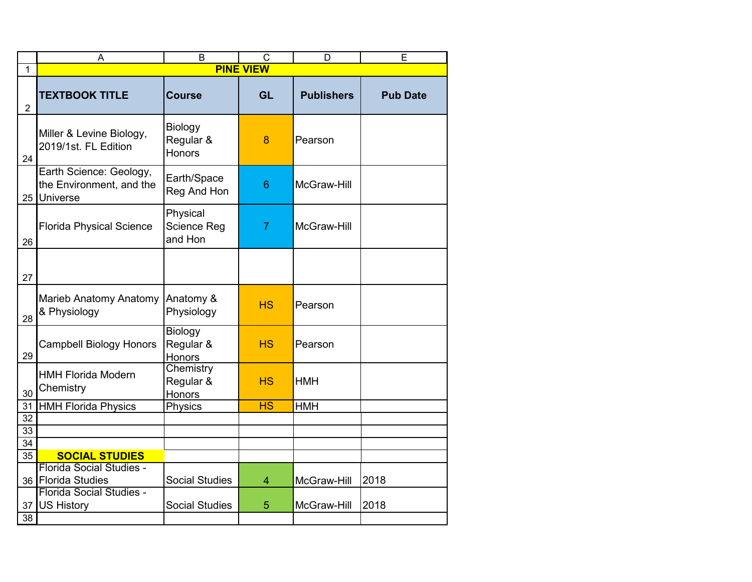|                       | A                                                                  | B                                     | $\overline{C}$   | D                 | Ē               |
|-----------------------|--------------------------------------------------------------------|---------------------------------------|------------------|-------------------|-----------------|
| 1                     |                                                                    |                                       | <b>PINE VIEW</b> |                   |                 |
| $\overline{2}$        | <b>TEXTBOOK TITLE</b>                                              | <b>Course</b>                         | <b>GL</b>        | <b>Publishers</b> | <b>Pub Date</b> |
| 24                    | Miller & Levine Biology,<br>2019/1st. FL Edition                   | Biology<br>Regular &<br><b>Honors</b> | 8                | Pearson           |                 |
|                       | Earth Science: Geology,<br>the Environment, and the<br>25 Universe | Earth/Space<br>Reg And Hon            | 6                | McGraw-Hill       |                 |
| 26                    | <b>Florida Physical Science</b>                                    | Physical<br>Science Reg<br>and Hon    | $\overline{7}$   | McGraw-Hill       |                 |
| 27                    |                                                                    |                                       |                  |                   |                 |
| 28                    | Marieb Anatomy Anatomy<br>& Physiology                             | Anatomy &<br>Physiology               | <b>HS</b>        | Pearson           |                 |
| 29                    | <b>Campbell Biology Honors</b>                                     | <b>Biology</b><br>Regular &<br>Honors | <b>HS</b>        | Pearson           |                 |
| 30                    | <b>HMH Florida Modern</b><br>Chemistry                             | Chemistry<br>Regular &<br>Honors      | <b>HS</b>        | <b>HMH</b>        |                 |
| 31                    | <b>HMH Florida Physics</b>                                         | Physics                               | <b>HS</b>        | <b>HMH</b>        |                 |
| 32                    |                                                                    |                                       |                  |                   |                 |
| 33                    |                                                                    |                                       |                  |                   |                 |
| 34<br>$\overline{35}$ |                                                                    |                                       |                  |                   |                 |
|                       | <b>SOCIAL STUDIES</b><br>Florida Social Studies -                  |                                       |                  |                   |                 |
|                       | 36 Florida Studies                                                 | <b>Social Studies</b>                 | $\overline{4}$   | McGraw-Hill       | 2018            |
| 37                    | Florida Social Studies -<br><b>US History</b>                      | <b>Social Studies</b>                 | 5                | McGraw-Hill       | 2018            |
| 38                    |                                                                    |                                       |                  |                   |                 |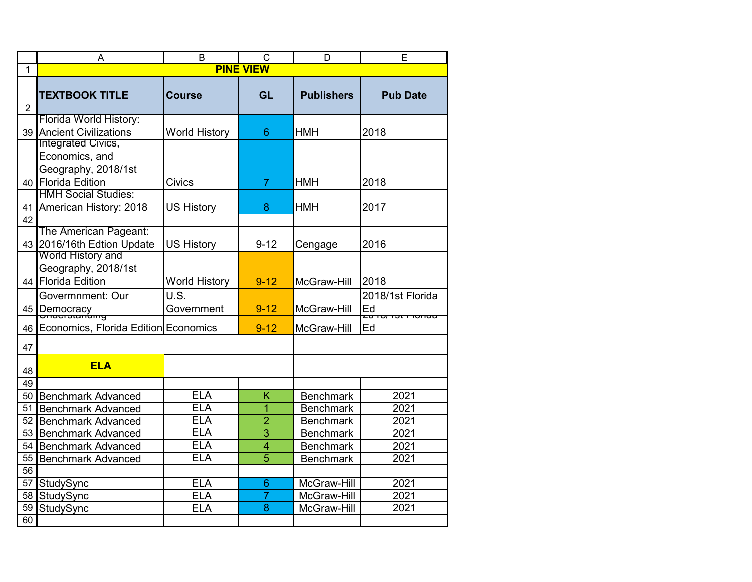|                | A                                                                                   | B                        | $\mathsf{C}$        | D                                    | Е                                                      |
|----------------|-------------------------------------------------------------------------------------|--------------------------|---------------------|--------------------------------------|--------------------------------------------------------|
| 1              | <b>PINE VIEW</b>                                                                    |                          |                     |                                      |                                                        |
| $\overline{2}$ | <b>TEXTBOOK TITLE</b>                                                               | <b>Course</b>            | <b>GL</b>           | <b>Publishers</b>                    | <b>Pub Date</b>                                        |
| 39             | Florida World History:<br><b>Ancient Civilizations</b><br><b>Integrated Civics,</b> | <b>World History</b>     | 6                   | <b>HMH</b>                           | 2018                                                   |
|                | Economics, and<br>Geography, 2018/1st<br>40 Florida Edition                         | <b>Civics</b>            | $\overline{7}$      | <b>HMH</b>                           | 2018                                                   |
| 41             | <b>HMH Social Studies:</b><br>American History: 2018                                | <b>US History</b>        | 8                   | <b>HMH</b>                           | 2017                                                   |
| 42<br>43       | The American Pageant:<br>2016/16th Edtion Update                                    | <b>US History</b>        | $9 - 12$            | Cengage                              | 2016                                                   |
| 44 I           | World History and<br>Geography, 2018/1st<br><b>Florida Edition</b>                  | <b>World History</b>     | $9 - 12$            | McGraw-Hill                          | 2018                                                   |
|                | Govermnment: Our<br>45 Democracy                                                    | U.S.<br>Government       | $9 - 12$            | McGraw-Hill                          | 2018/1st Florida<br>Ed<br><del>zu iurist i lunua</del> |
| 46             | Economics, Florida Edition Economics                                                |                          | $9 - 12$            | McGraw-Hill                          | Ed                                                     |
| 47             |                                                                                     |                          |                     |                                      |                                                        |
| 48             | <b>ELA</b>                                                                          |                          |                     |                                      |                                                        |
| 49             |                                                                                     |                          |                     |                                      |                                                        |
| 51             | 50 Benchmark Advanced                                                               | <b>ELA</b><br><b>ELA</b> | K<br>$\overline{1}$ | <b>Benchmark</b><br><b>Benchmark</b> | 2021<br>2021                                           |
| 52             | <b>Benchmark Advanced</b>                                                           | <b>ELA</b>               | $\overline{2}$      | <b>Benchmark</b>                     | 2021                                                   |
| 53             | <b>Benchmark Advanced</b><br><b>Benchmark Advanced</b>                              | <b>ELA</b>               | $\overline{3}$      | <b>Benchmark</b>                     | 2021                                                   |
| 54             | <b>Benchmark Advanced</b>                                                           | <b>ELA</b>               | $\overline{4}$      | <b>Benchmark</b>                     | 2021                                                   |
| 55             | <b>Benchmark Advanced</b>                                                           | <b>ELA</b>               | $\overline{5}$      | <b>Benchmark</b>                     | 2021                                                   |
| 56             |                                                                                     |                          |                     |                                      |                                                        |
| 57             | StudySync                                                                           | <b>ELA</b>               | 6                   | McGraw-Hill                          | 2021                                                   |
| 58             | StudySync                                                                           | <b>ELA</b>               | $\overline{7}$      | McGraw-Hill                          | 2021                                                   |
| 59             | StudySync                                                                           | <b>ELA</b>               | 8                   | McGraw-Hill                          | 2021                                                   |
| 60             |                                                                                     |                          |                     |                                      |                                                        |